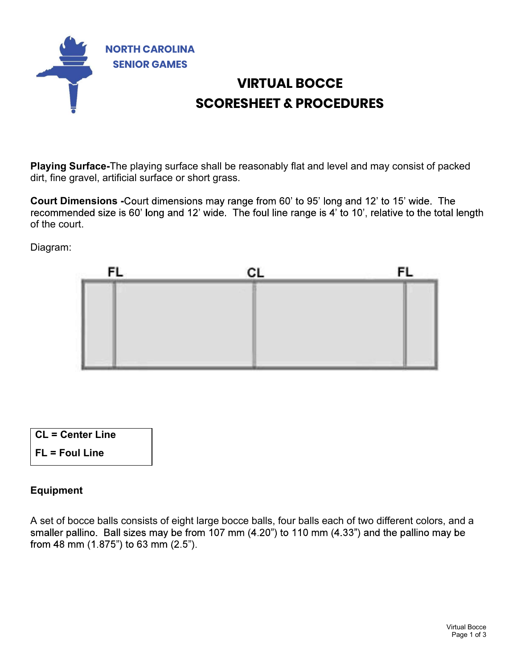

### VIRTUAL BOCCE SCORESHEET & PROCEDURES

Playing Surface-The playing surface shall be reasonably flat and level and may consist of packed dirt, fine gravel, artificial surface or short grass.<br>Court Dimensions -Court dimensions may range from 60' to 95' long and 12' to 15' wide. The

recommended size is 60' long and 12' wide. The foul line range is 4' to 10', relative to the total length of the court.

Diagram:



| <b>CL = Center Line</b> |  |
|-------------------------|--|
| $FL = Foul Line$        |  |

#### Equipment

and a<br>be<br>Irtual Bocce<br>Page 1 of 3 A set of bocce balls consists of eight large bocce balls, four balls each of two different colors, and a smaller pallino. Ball sizes may be from 107 mm (4.20") to 110 mm (4.33") and the pallino may be from 48 mm (1.875") to 63 mm (2.5").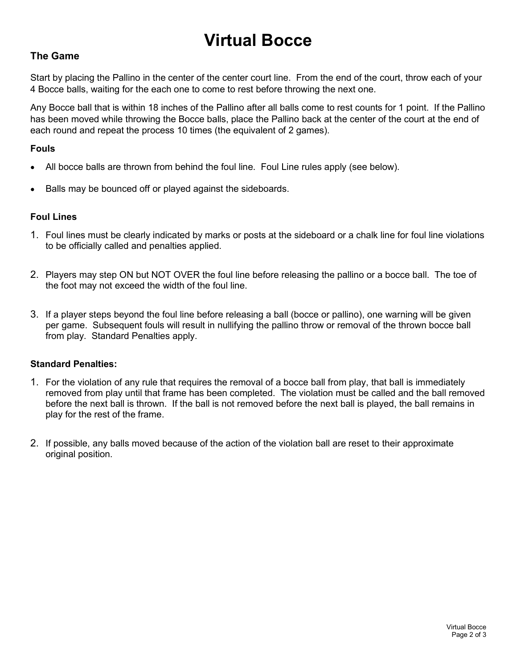## Virtual Bocce

#### The Game

Start by placing the Pallino in the center of the center court line. From the end of the court, throw each of your 4 Bocce balls, waiting for the each one to come to rest before throwing the next one.

Any Bocce ball that is within 18 inches of the Pallino after all balls come to rest counts for 1 point. If the Pallino has been moved while throwing the Bocce balls, place the Pallino back at the center of the court at the end of each round and repeat the process 10 times (the equivalent of 2 games).

#### Fouls

- All bocce balls are thrown from behind the foul line. Foul Line rules apply (see below).
- Balls may be bounced off or played against the sideboards.

#### Foul Lines

- 1. Foul lines must be clearly indicated by marks or posts at the sideboard or a chalk line for foul line violations to be officially called and penalties applied.
- 2. Players may step ON but NOT OVER the foul line before releasing the pallino or a bocce ball. The toe of the foot may not exceed the width of the foul line.
- 3. If a player steps beyond the foul line before releasing a ball (bocce or pallino), one warning will be given per game. Subsequent fouls will result in nullifying the pallino throw or removal of the thrown bocce ball from play. Standard Penalties apply.

#### Standard Penalties:

- 1. For the violation of any rule that requires the removal of a bocce ball from play, that ball is immediately removed from play until that frame has been completed. The violation must be called and the ball removed before the next ball is thrown. If the ball is not removed before the next ball is played, the ball remains in play for the rest of the frame.
- 2. If possible, any balls moved because of the action of the violation ball are reset to their approximate original position.